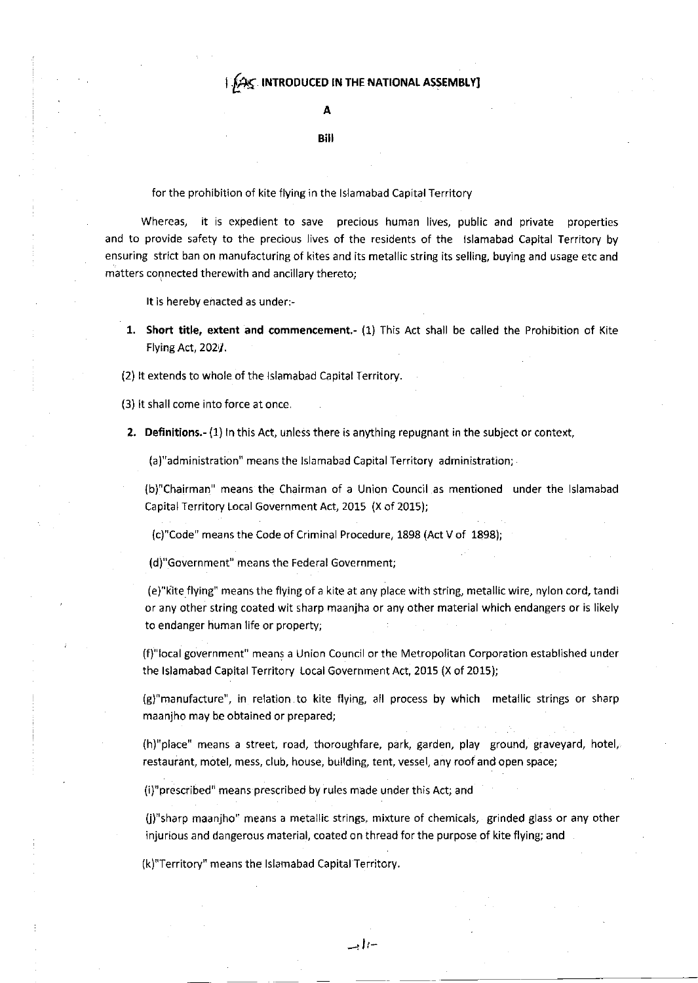## BiI

for the prohibition of kite flying in the lslamabad Capital Territory

Whereas, it is expedient to save precious human lives, public and private properties and to provide safety to the precious lives of the residents of the Islamabad Capital Territory by ensuring strict ban on manufacturing of kites and its metallic string its selling, buying and usage etc and matters connected therewith and ancillary thereto;

It is hereby enacted as under:-

- 1. Short title, extent and commencement.- (1) This Act shall be called the Prohibition of Kite Flying Act, 202/.
- (2) lt extends to whole of the lslamabad Capital Territory.

(3) It shall come into force at once.

2. Definitions.- (1) ln this Act, unless there is anything repugnant in the subject or context,

(a)"administration" means the lslamabad Capital Territory administration;

(b)"Chairman" means the Chairman of a Union Council as mentioned under the lslamabad Capital Territory Local Government Act, 2015 (X of 2015);

(c)"Code" means the Code of Criminal Procedure, 1898 (Act V of 1898);

(d)"Government" meansthe Federal Government;

(e)"kite flying" means the flying of a kite at any place with string, metallic wire, nylon cord, tandi or any other string coated wit sharp maanjha or any other material which endangers or is likely to endanger human life or property;

(f)"local government" means a Union Council or the Metropolitan Corporation established under the Islamabad Capital Territory Local Government Act, 2015 (X of 2015);

(g)"manufacture", in relation to kite flying, all process by which metallic strings or sharp maanjho may be obtained or prepared;

(h)"place" means a street, road, thoroughfare, park, garden, plav ground, graveyard, hotel, restaurant, motel, mess, club, house, building, tent, vessel, any roof and open space;

(i)"prescribed" means prescribed by rules made under this Act; and

(j)"sharp maanjho" means a metallic strings, mixture of chemicals, grinded glass or any other injurious and dangerous material, coated on thread for the purpose of kite flying; and

(k)'Territory" means the lslamabad Capital Territory.

-: lr-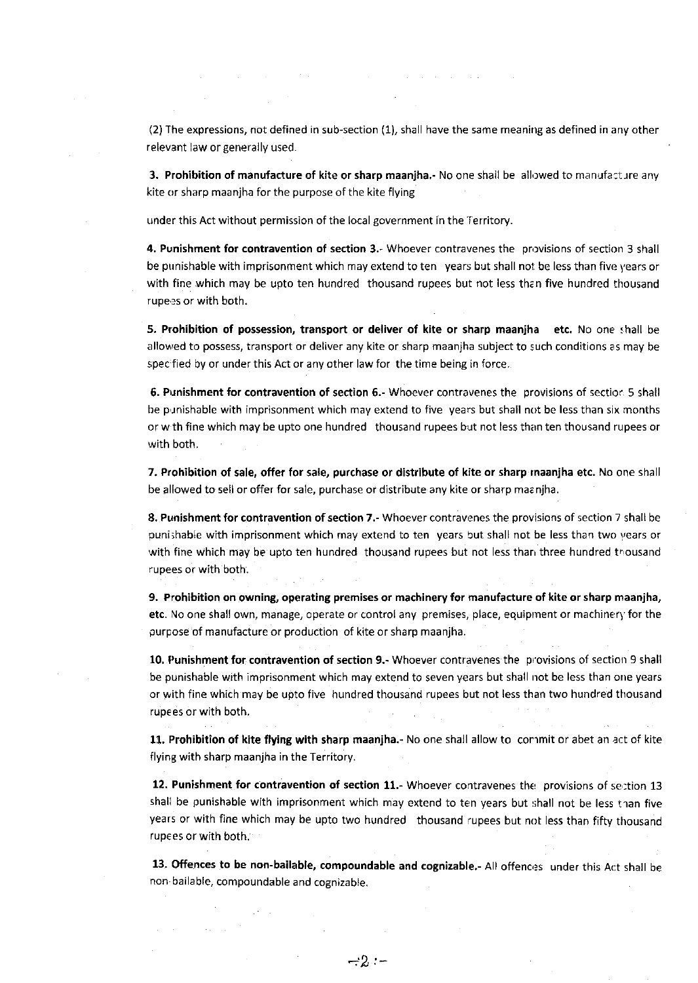$(2)$  The expressions, not defined in sub-section  $(1)$ , shall have the same meaning as defined in any other relevant law or generally used.

3. Prohibition of manufacture of kite or sharp maanjha,- No one shall be allowed to manufacture any kite or sharp maanjha tor the purpose of the kite flying

under this Act without permission of the local government in the Territory

4. Punishment for contravention of section 3.- Whoever contravenes the provisions of section 3 shall be punishable with imprisonment which may extend to ten years but shall not be less than five years or with fine which may be upto ten hundred thousand rupees but not less than five hundred thousand rupees or with both.

5. Prohibition of possession, transport or deliver of kite or sharp maanjha etc. No one shall be allowed to possess, transport or deliver any kite or sharp maanjha subject to such conditions as may be spec fied by or under this Act or any other law for the time being in force.

5, Punishment for contravention of section 6.- Whoever contravenes the provisions of sectior 5 shall be punishable with imprisonment which may extend to five years but shall not be less than six months or w th fine which may be upto one hundred thousand rupees but not less than ten thousand rupees or with both.

7. Prohibition of sale, offer for sale, purchase or distribute of kite or sharp maanjha etc. No one shall be allowed to sell or offer for sale, purchase or distribute any kite or sharp maanjha.

8. Punishment for contravention of section 7.- Whoever contravenes the provisions of section 7 shall be punishable with imprisonment which may extend to ten years but shall not be less than two years or with fine which may be upto ten hundred thousand rupees but not less than three hundred thousand rupees or with both.

9, Prohibition on owning, operating premises or machinery for manufacture of kite or sharp maanjha, etc. No one shall own, manage, operate or control any premises, place, equipment or machinery for the purpose of manufacture or production of kite or sharp maanjha.

10. Punishment for contravention of section 9.- Whoever contravenes the provisions of section 9 shall be punishable with imprisonment which may extend to seven years but shall not be less than one years or with fine which may be upto five hundred thousand rupees but not less than two hundred thousand rupees or with both.

11. Prohibition of kite flying with sharp maanjha.- No one shall allow to commit or abet an act of kite flying with sharp maanjha in the Territory.

12. Punishment for contravention of section 11.- Whoever contravenes the provisions of section 13 shall be punishable with imprisonment which may extend to ten years but shall not be less than five years or with flne which may be upto two hundred thousand rupees but not less than fifty thousand rupees or with both.

13. Offences to be non-bailable, compoundable and cognizable.- All offences under this Act shall be non-bailable, compoundable and cognizable,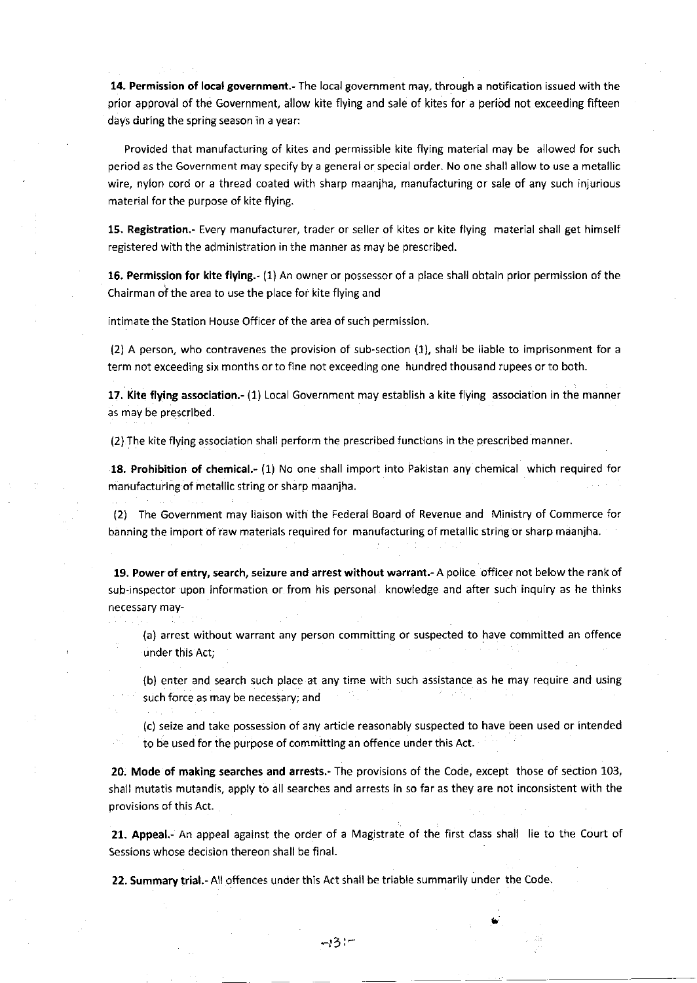14. Permission of local government.- The local government may, through a notification issued with the prior approval of the Government, allow kite flying and sale of kites for a period not exceeding fifteen days during the spring season in a year:

Provided that manufacturing of kites and permissible kite flying material may be allowed for such period as the Government may specify by a general or special order. No one shall allow to use a metallic wire, nylon cord or a thread coated with sharp maanjha, manufacturing or sale of any such injurious material for the purpose of kite flying.

15. Registration.- Every manufacturer, trader or seller of kites or kite flying material shall get himself registered with the administration in the manner as may be prescribed.

16. Permission for kite flying.- (1) An owner or possessor of a place shall obtajn prior permission of the Chairman of the area to use the place for kite flying and

intimate the Station House Officer of the area of such permission.

(2) A person, who contravenes the provision of sub-section (1), shall be liable to imprisonment for <sup>a</sup> term not exceeding six months or to fine not exceeding one hundred thousand rupees or to both.

17, Kite flying association.- (1) Local Government may establish a kite flying association in the manner as may be prescribed.

(2)The kite flying association shall perform the prescribed functions in the prescribed manner.

18. Prohibition of chemical.- (1) No one shall import into Pakistan any chemical which required for manufacturing of metallic string or sharp maanjha.

(2) The Government may liaison with the Federal Board of Revenue and Ministry of Commerce for banning the import of raw materials required for manufacturing of metallic string or sharp maanjha.

19. Power of entry, search, seizure and arrest without warrant.- A police officer not below the rank of sub-inspector upon information or from his personal knowledge and after such inquiry as he thinks necessary may-

(a) arrest without warrant any person committing or suspected to have committed an offence under this Act;

(b) enter and search such place at any time with such assistance as he may require and using such force as may be necessary; ahd

(c) seize and take possession of any article reasonably suspected to have been used or intended to be used for the purpose of committing an offence under this Act.

20. Mode of making searches and arrests,- The provisions of the code, except those of section 103, shall mutatis mutandis, apply to all searches and arrests in so far as they are not inconsistent with the provisions of this Act.

21. Appeal.- An appeal against the order of a Magistrate of the first class shall lie to the Court of Sessions whose decision thereon shall be final.

22. Summary trial.- All offences under this Act shall be triable summarily under the Code.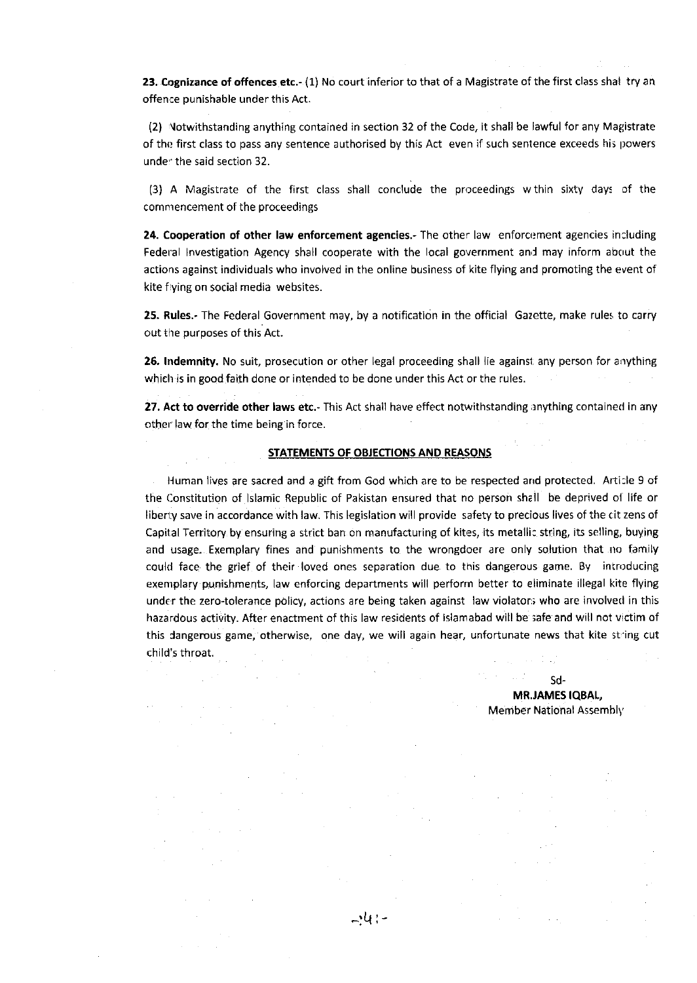23. Cognizance of offences etc.- (1) No court inferior to that of a Magistrate of the first class shal try an offence punishable under this Act.

(2) Notwithstanding anything contained in section 32 of the Code, it shall be lawful for any Magistrate of the first class to pass any sentence authorised by this Act even if such sentence exceeds his powers unde" the said section 32.

(3) A Magistrate of the first class shall conclude the proceedings wthin sixty days of the comnrencement of the proceedings

24. Cooperation of other law enforcement agencies.- The other law enforcement agencies including Federal Investigation Agency shall cooperate with the local government and may inform about the actions against individuals who involved in the online business of kite flying and promoting the event of kite flying on social media websites.

25. Rules.- The Federal Government may, by a notification in the official Gazette, make rules to carry out the purposes of this Act.

26. Indemnity. No suit, prosecution or other legal proceeding shall lie against any person for anything which is in good faith done or intended to be done under this Act or the rules.

27. Act to override other laws etc.- This Act shall have effect notwithstanding anything contained in any other law for the time being in force.

## STATEMENTS OF OBJECTIONS AND REASONS

Human lives are sacred and a gift from God which are to be respected and protected. Article 9 of the Constitution of Islamic Republic of Pakistan ensured that no person shall be deprived of life or liberty save in accordance with law. This legislation will provide safety to precious lives of the cit zens of Capital Territory by ensuring a strict ban on manufacturing of kites, its metallic string, its selling, buying and usage. Exemplary fines and punishments to the wrongdoer are only solution that no family could face the grief of their loved ones separation due to tnis dangerous game. By introducing exemplary punishments, law enforcing departments will perform better to eliminate illegal kite flying under the zero-tolerance policy, actions are being taken against law violators who are involved in this hazardous activity. After enactment of this law residents of Islamabad will be safe and will not victim of this Cangerous game, otherwise, one day, we will again hear, unfortunate news that kite st-ing cut child's throat.

 $-9$  let

sd-MR.JAMES IqBAL, Member National Assembly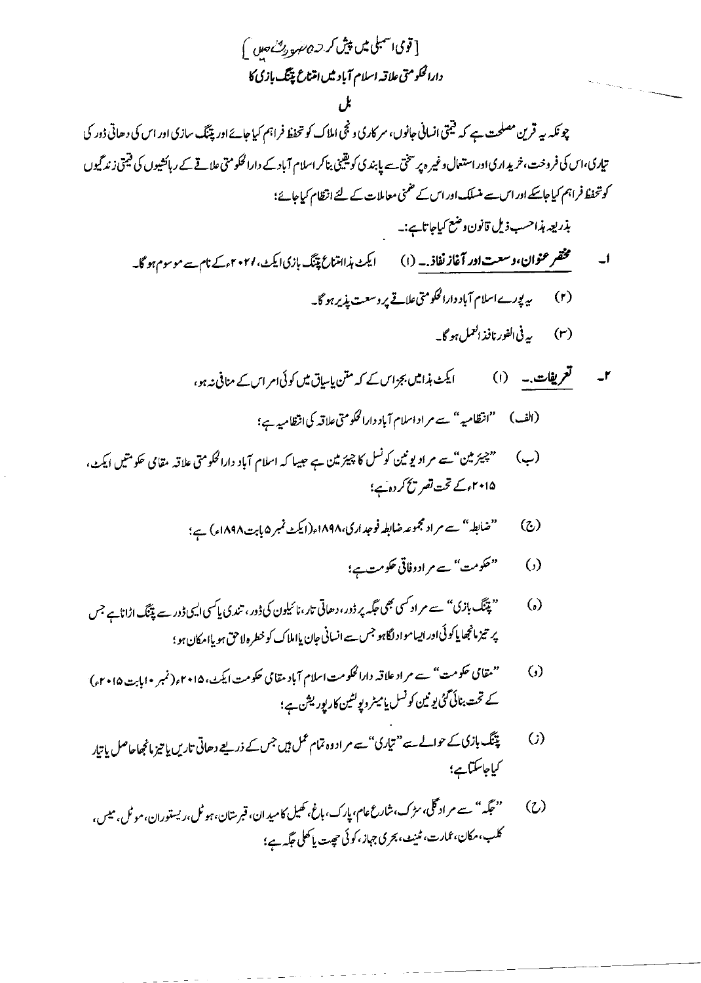$$
\frac{1}{2} \int_{0}^{2} \int_{0}^{2} \int_{0}^{2} \int_{0}^{2} \int_{0}^{2} \int_{0}^{2} \int_{0}^{2} \int_{0}^{2} \int_{0}^{2} \int_{0}^{2} \int_{0}^{2} \int_{0}^{2} \int_{0}^{2} \int_{0}^{2} \int_{0}^{2} \int_{0}^{2} \int_{0}^{2} \int_{0}^{2} \int_{0}^{2} \int_{0}^{2} \int_{0}^{2} \int_{0}^{2} \int_{0}^{2} \int_{0}^{2} \int_{0}^{2} \int_{0}^{2} \int_{0}^{2} \int_{0}^{2} \int_{0}^{2} \int_{0}^{2} \int_{0}^{2} \int_{0}^{2} \int_{0}^{2} \int_{0}^{2} \int_{0}^{2} \int_{0}^{2} \int_{0}^{2} \int_{0}^{2} \int_{0}^{2} \int_{0}^{2} \int_{0}^{2} \int_{0}^{2} \int_{0}^{2} \int_{0}^{2} \int_{0}^{2} \int_{0}^{2} \int_{0}^{2} \int_{0}^{2} \int_{0}^{2} \int_{0}^{2} \int_{0}^{2} \int_{0}^{2} \int_{0}^{2} \int_{0}^{2} \int_{0}^{2} \int_{0}^{2} \int_{0}^{2} \int_{0}^{2} \int_{0}^{2} \int_{0}^{2} \int_{0}^{2} \int_{0}^{2} \int_{0}^{2} \int_{0}^{2} \int_{0}^{2} \int_{0}^{2} \int_{0}^{2} \int_{0}^{2} \int_{0}^{2} \int_{0}^{2} \int_{0}^{2} \int_{0}^{2} \int_{0}^{2} \int_{0}^{2} \int_{0}^{2} \int_{0}^{2} \int_{0}^{2} \int_{0}^{2} \int_{0}^{2} \int_{0}^{2} \int_{0}^{2} \int_{0}^{2} \int_{0}^{2} \int_{0}^{2} \int_{0}^{2} \int_{0}^{2} \int_{0}^{2} \int_{0}^{2} \int_{0}^{2} \int_{0}^{2} \int_{0}^{2} \int_{0}^{2} \int_{0}^{2} \int_{0}^{2}
$$

- " پینگ بازی" سے مراد کسی بھی جگہ پر ڈور، دھاتی تار،نا ئیلون کی ڈور، تندی پاکسی الیپ ڈور سے پینگ اڑاناہے جس  $\left($ پر تیز مانجھا یا کوئی اور ایسامواد لگاہو جس سے انسانی جان یااملاک کو خطرہ لاحق ہو یاامکان ہو؛
- "مقامی حکومت" سے مراد علاقہ دارالحکومت اسلام آباد مقامی حکومت ایکٹ، ۲۰۱۵ء(نمبر •ابابت ۲۰۱۵ء)  $\omega$ کے تحت بنائی گئی یونین کونسل یامیٹر دیولٹین کارپوریش ہے؛
- پیننگ بازی کے حوالے سے "تیاری"سے مر ادوہ تمام عمل ہیں جس کے ذریعے دھاتی تاریں یا تیز مانجھاحاصل پا تیار  $(i)$ کیاجاسکتاہے؛
- "حبگہ" سے مر اد گلی، سڑک،شارع عام، پارک، باغ، کھیل کامید ان، قبر ستان، ہو ٹل،ریستوران، مو ٹل، میس،  $\circlearrowright$ كلب،مكان، ممارت، نىن ، بحرى جہاز،كوئى حصٍت يا كھلى حَكِيبٍ؛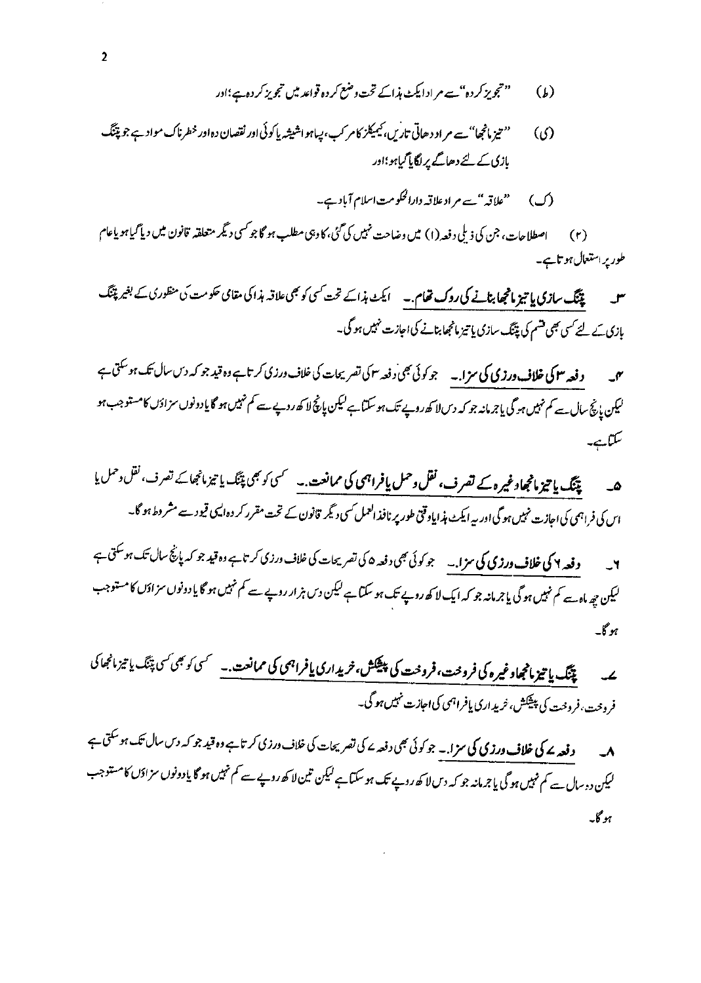- " تجویز کردہ" سے مر ادا یکٹ ہذاکے تحت وضع کر دہ قواعد میں تجویز کر دہ ہے؛اور  $\mu$
- '' تیز مانجھا'' سے مر اد دھاتی تاریں، کیمیکڑ کامر کپ، پیاہواشیشہ پاکوئی اور نقصان دہاور خطرناک مواد ہے جو پتنگ  $\omega$ بازی کے لئے دھامیے پراگا پاگیاہو؛اور
	- (ک) صلح ایتمر"سے مراد علاقیہ دارالحکومت اسلام آباد ہے۔

اصطلاحات، جن کی ذیلی د فعہ (۱) میں وضاحت نہیں کی گئی، کا دہی مطلب ہو گاجو کسی دیگر متعلقہ قانون میں دیا گیاہویاعام  $(r)$ طور پر استعال ہو تاہے۔

**چنگ سازی یا تیمز مانجھا بنانے کی روک تھام ۔۔** ایکٹ ہذاکے تحت *کسی کو بھی علاقہ* ہذا کی مقامی حکومت کی منظوری کے بغیر پتنگ بازی کے لئے کسی بھی قسم کی پینگ سازی یا تیز مانجھا بنانے کی اجازت نہیں ہو گی۔

و فعہ **سا کی خلاف درزی کی سزا۔۔** جو کوئی بھی دفعہ ساکی تصریحات کی خلاف درزی کرتاہے وہ قید جو کہ د<sup>ی</sup>ں سال تک ہوسکتی ہے  $\mathbf{r}$ لیکن پانچ سال ہے کم نہیں ہوگی یاجرمانہ جو کہ دس لا کھ روپے تک ہو سکتا ہے لیکن پانچ لا کھ روپے سے کم نہیں ہو گا یادونوں سزاؤں کامستوجب ہو ىكتابىيە

ھ۔ سی پینگ **یا تیز مانج**حاد غیر ہ کے تصرف، نقل وحمل **یافراہمی کی ممانعت .**۔ سمی کو بھی پینگ یا تیز مانجھا<sup>کے</sup> تصرف، نقل دحمل یا اس کی فراہمی کی اجازت نہیں ہو گی اور یہ ایکٹ ہذایاوقتی طور پر نافذ العمل کسی دیگر قانون کے تحت مقرر کر دہ ایسی قیود سے مشر وط ہو گا۔

و فعہ ۷ ک**ی خلاف درزی کی سزا** ۔ جو کوئی بھی د فعہ ۵ کی تصریحات کی خلاف درزی کرتا ہے وہ قید جو کہ پانچ سال تک ہوسکتی ہے  $\mathbf{H}$ لیکن جہر ماہ سے کم نہیں ہو گی یا جرمانہ جو کہ ایک لا کھ روپے تک ہو سکتا ہے لیکن دس ہڑ ار روپے سے کم نہیں ہو گا یا دونوں سز اؤں کامستوجب بهوگا-

چنگ یا تیمزمانجھاوغیر ہ کی فروخت، فروخت کی پیشکش، خرید اری یافراہمی کی ممانعت.۔ سمسی <sup>کو بھی کس</sup>ی پننگ یا تیز مانج<sub>ھا ک</sub>ی فروحت، فروحت کی پیشکش، خریداری یافراہمی کی اجازت نہیں ہو گی۔

و فعہ **۷ کی خلاف ورزی کی سز ا**۔ جو کوئی بھی دفعہ <sup>ر</sup> کی تصریحات کی خلاف ورزی کر تا ہے وہ قید جو کہ دس سال تک ہو سکتی ہے  $\overline{\mathbf{A}}$ لیکن دوسال ہے کم نہیں ہو گی یا جرمانہ جو کہ دس لا کھ روپے تک ہو سکتا ہے لیکن تین لا کھ روپے سے کم نہیں ہو گا یا دونوں سز اڈل کامستوجب برمى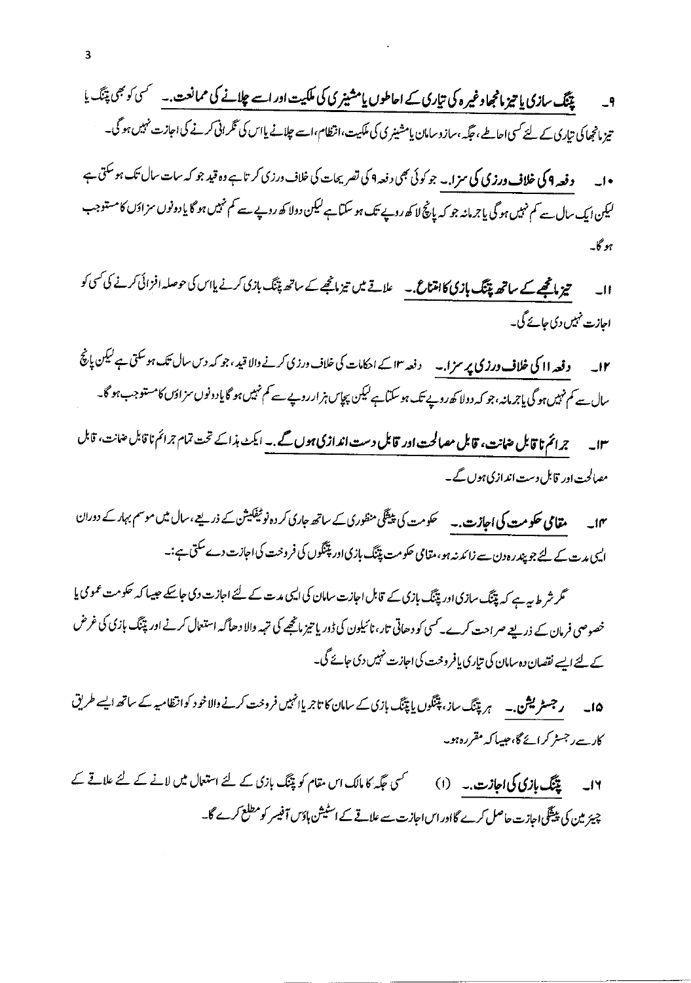• ا۔ وفعہ **4کی خلاف درزی کی سزا**.۔ جو کوئی بھی دفعہ ۹ کی تصریحات کی خلاف درزی کر تاہے وہ قید جو کہ سات سال تک ہوسکتی ہے لیکن ایک سال سے کم نہیں ہوگی یا جرمانہ جو کہ پانچ لا کھ روپے تک ہو سکتا ہے لیکن دولا کھ روپے سے کم نہیں ہو گا یا دونوں سزاؤں کامستوجب بهو گا۔

- حیز ماتھے کے س**اتھ پیّنگ بازی کاانتماع۔** ملاقے میں تیز ماتھے کے ساتھ پیّنگ بازی کرنے پااس کی حوصلہ افزائی کرنے کی کسی کو  $-11$ احازت نہیں دی جائے گی۔
- ۱۲۔ دفعہ ۱۱ کی خلاف ورزی پر سزا۔۔ دفعہ ۱۳ کے احکامات کی خلاف ورزی کرنے والا قید ،جو کہ دس سال تک ہوسکتی ہے لیکن پانچ سال سے کم نہیں ہو گی یاجرمانہ،جو کہ دولا کھ روپے تک ہوسکتا ہے لیکن پچاس ہزار روپے سے کم نہیں ہو گا یادونوں سزاؤں کامستوجب ہو گا۔ مصالحت اور قابل دست اندازی ہوں گے۔
- ۱۴۔ مقا**می حکومت کی اجازت ۔۔** حکومت کی پیشگی منظوری *کے ساتھ جاری کر* دہ نوٹیفکیش *کے ذریلچے ،س*ال میں موسم بہار کے دوران ایں مدت کے لئے جو پندرہ دن سے زائد نہ ہو،مقامی حکومت پیّنگ بازی اور پیّنگوں کی فروخت کی اجازت دے سکتی ہے :۔

گر شر ط پہ ہے کہ پینگ سازی اور پینگ بازی کے قابل اجازت سامان کی ایس مدت کے لئے اجازت دی جاسکے حبیبا کہ حکومت عمومی یا خصوصی فرمان کے ذریعے صراحت کرے۔کسی کو دھاتی تار، نائیلون کی ڈور یا تیز مانچھے کی تہہ والا دھاگہ استعال کرنے اور پتنگ بازی کی غرض کے لئے ایسے نقصان دہ سامان کی تیاری یافروخت کی اجازت نہیں دی جائے گی۔

۱۵۔ دجسٹریشن ۔ ہ<sub>ر پتنگ</sub> ساز، پتنگوں یا پتنگ بازی کے سامان کا تاجر یاانہیں فروخت کرنے والاخود کوانتظامیہ کے ساتھ ایسے طریق کارسے رجسٹر کرائے گا،حبیبا کہ مقررہ ہو۔

کسی جگہ کا مالک اس مقام کو پتنگ بازی کے لئے استعال میں لانے کے لئے علاقے کے ١٢۔ پینگ بازی کی اجازت۔۔ (١) چیئر مین کی پیشکی اجازت حاصل کرے گااور اس اجازت سے علاقے کے اسٹیشن ہاؤس آفیسر کومطلع کرے گا۔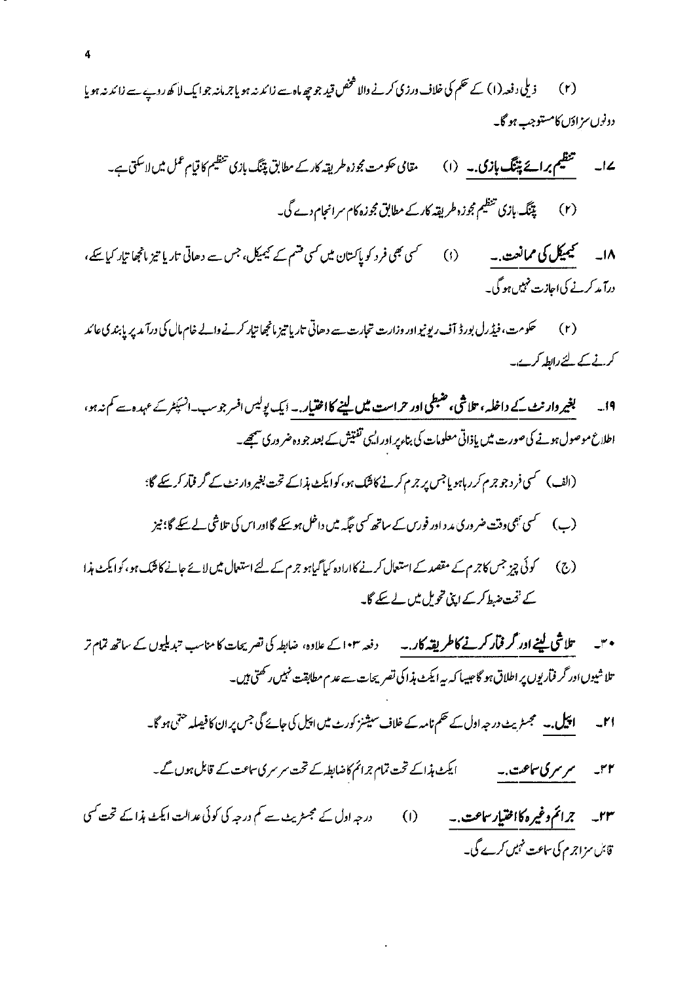۱۸۔ سمیمیکل کی ممانعت ۔ کسی بھی فرد کو پاکستان میں کسی قسم کے کیمیکل، جس سے دھاتی تاریا تیز پانچھا تیار کیا پیکے،  $\left(\begin{matrix}1\end{matrix}\right)$ درآ مد کرنے کی اجازت نہیں ہو گی۔

کرنے کے لئے رابطہ کرے۔

- <sup>4</sup>ا۔ لینچیر وار نٹ کے داخلہ ، حلاشی ، ضبطی اور حراست میں لینے کااختیار ۔ ایک پولیس افسر جوسب۔انسپَٹر کے عہد ہ سے کم نہ ہو، اطلاع موصول ہونے کی صورت میں یاذاتی معلومات کی بناءیر اور ایسی تفتیش کے بعد جو وہ ضر وری سیجھے۔
	- (الف) کسی فر د جو جرم کر ر ہاہو یا جس پر جرم کرنے کاشک ہو ، کوایکٹ ہذاکے تحت بغیر وار نٹ کے گر فمآر کر سکے گا؛
	- (ب) سمکسی بھی وقت ضر دری مد د اور فورس کے ساتھ *کسی جگہ میں* داخل ہو سکے گااور اس کی تلاشی لے سکے گا؛ نیز
- (ج) کوئی چیز جس کاجر م کے مقصد کے استعال کرنے کاارادہ کیا گیاہو جرم کے لئے استعال میں لائے جانے کافنک ہو، کوایکٹ ہذا کے نخت ضبط کرکے اپنی تحویل میں لے بچکے گا۔
- میں سس سلا<mark>شی لینے اور گر فیار کرنے کاطر یقہ کار۔</mark> دفعہ ۱۰۳ کے علاوہ، ضابطہ کی تصریحات کا مناسب تبدیلیوں کے ساتھ تمام تر تلا شیوں اور گر فماریوں پر اطلاق ہو گا *جیسا کہ یہ* ایکٹ ہذا کی تصریحات سے عدم مطابقت نہیں رکھتی ہیں۔
	- **اپیل.۔** مجسٹریٹ درجہ اول کے حکم نامہ کے خلاف سیشنز کورٹ میں اپیل کی جائے گی جس پر ان کا فیصلہ <sup>حتمی</sup>ں ہو گا۔  $-r<sub>i</sub>$
	- ایکٹ ہذاکے تحت تمام جرائم کاضابطہ کے تحت سر سری ساعت کے قابل ہوں گے۔ ۲۲۔ مر سری ساعت۔۔
- درجہ ادل کے مجسٹریٹ سے کم درجہ کی کوئی عدالت ایکٹ ہذا کے تحت کسی ۲۳۔ جرائم وغیرہ کااختیار ساعت ۔- $(1)$ قابل سزاجرم کی ساعت نہیں کرے گی۔